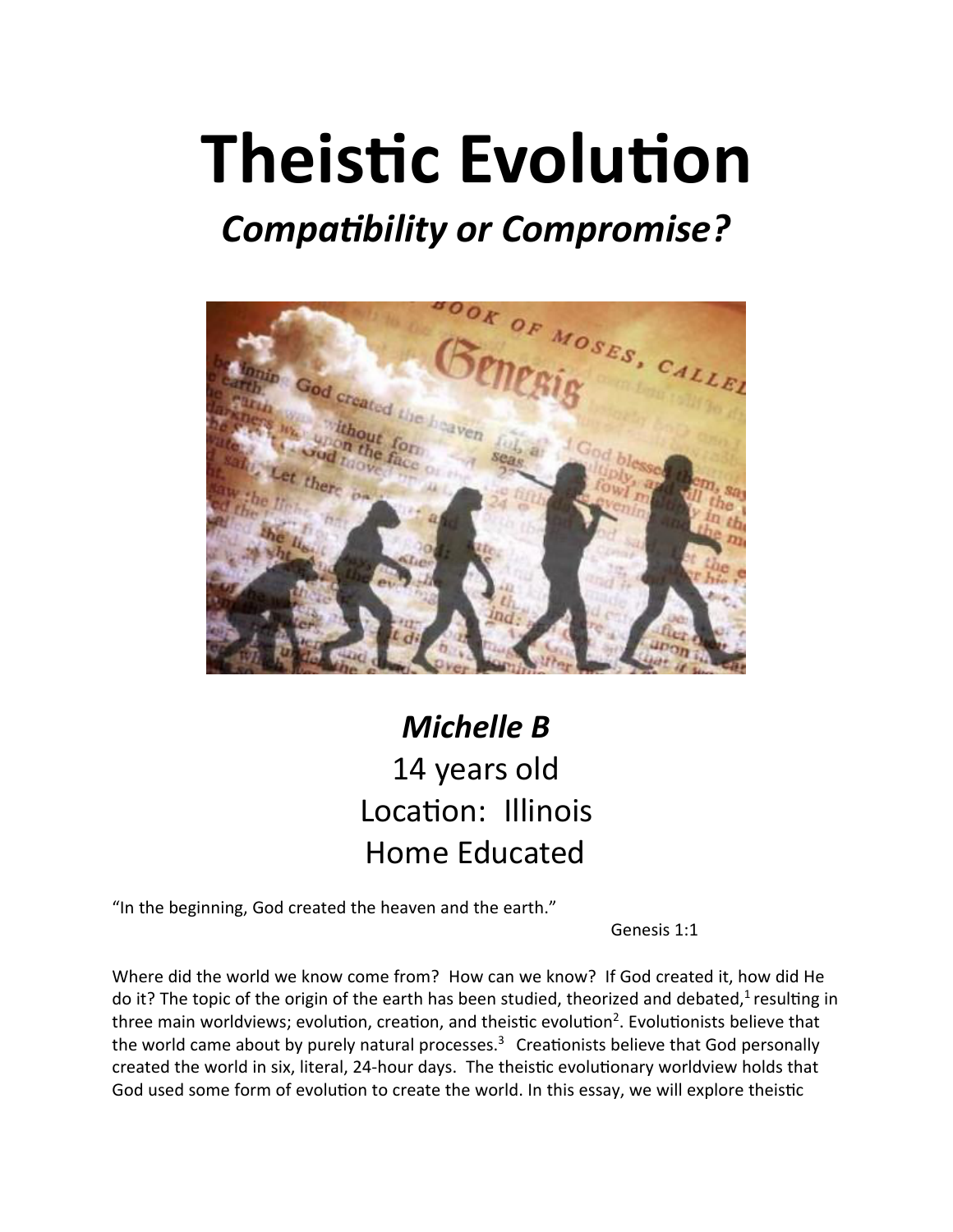# **Theistic Evolution**

## *Compa�bility or Compromise?*



### *Michelle B* 14 years old Location: Illinois Home Educated

"In the beginning, God created the heaven and the earth."

Genesis 1:1

Where did the world we know come from? How can we know? If God created it, how did He do it? The topic of the origin of the earth has been studied, theorized and debated,<sup>1</sup> resulting in three main worldviews; evolution, creation, and theistic evolution<sup>2</sup>. Evolutionists believe that the world came about by purely natural processes. $3$  Creationists believe that God personally created the world in six, literal, 24-hour days. The theistic evolutionary worldview holds that God used some form of evolution to create the world. In this essay, we will explore theistic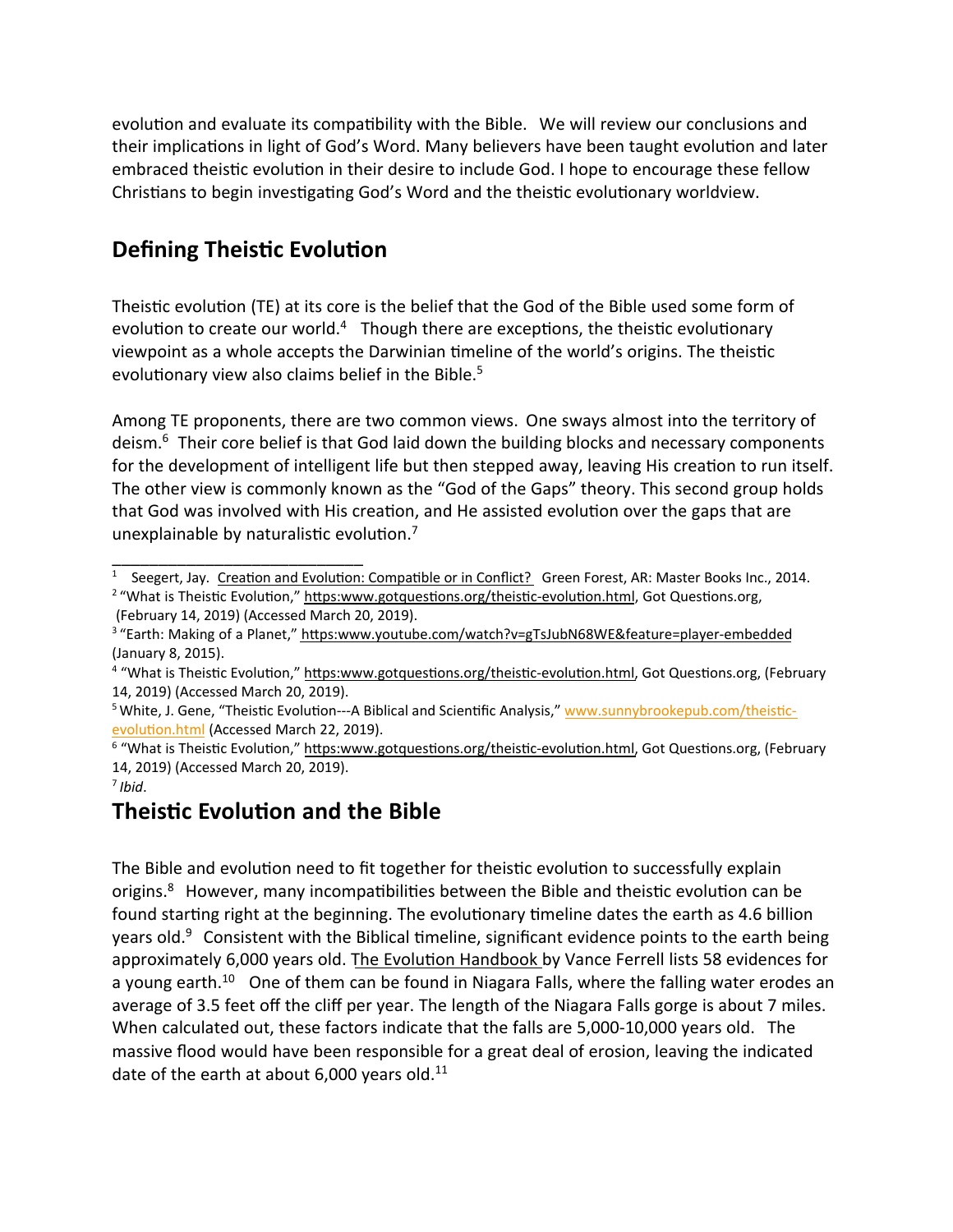evolution and evaluate its compatibility with the Bible. We will review our conclusions and their implications in light of God's Word. Many believers have been taught evolution and later embraced theistic evolution in their desire to include God. I hope to encourage these fellow Christians to begin investigating God's Word and the theistic evolutionary worldview.

#### **Defining Theistic Evolution**

\_\_\_\_\_\_\_\_\_\_\_\_\_\_\_\_\_\_\_\_\_\_\_\_\_\_\_

Theistic evolution (TE) at its core is the belief that the God of the Bible used some form of evolution to create our world.<sup>4</sup> Though there are exceptions, the theistic evolutionary viewpoint as a whole accepts the Darwinian timeline of the world's origins. The theistic evolutionary view also claims belief in the Bible. $5$ 

Among TE proponents, there are two common views. One sways almost into the territory of deism.<sup>6</sup> Their core belief is that God laid down the building blocks and necessary components for the development of intelligent life but then stepped away, leaving His creation to run itself. The other view is commonly known as the "God of the Gaps" theory. This second group holds that God was involved with His creation, and He assisted evolution over the gaps that are unexplainable by naturalistic evolution. $<sup>7</sup>$ </sup>

#### **Theistic Evolution and the Bible**

The Bible and evolution need to fit together for theistic evolution to successfully explain origins. $8$  However, many incompatibilities between the Bible and theistic evolution can be found starting right at the beginning. The evolutionary timeline dates the earth as 4.6 billion years old. $9$  Consistent with the Biblical timeline, significant evidence points to the earth being approximately 6,000 years old. The Evolution Handbook by Vance Ferrell lists 58 evidences for a young earth.<sup>10</sup> One of them can be found in Niagara Falls, where the falling water erodes an average of 3.5 feet off the cliff per year. The length of the Niagara Falls gorge is about 7 miles. When calculated out, these factors indicate that the falls are 5,000-10,000 years old. The massive flood would have been responsible for a great deal of erosion, leaving the indicated date of the earth at about 6,000 years old. $^{11}$ 

<sup>&</sup>lt;sup>1</sup> Seegert, Jay. Creation and Evolution: Compatible or in Conflict? Green Forest, AR: Master Books Inc., 2014.

<sup>&</sup>lt;sup>2</sup> "What is Theistic Evolution," https:www.gotquestions.org/theistic-evolution.html, Got Questions.org, (February 14, 2019) (Accessed March 20, 2019).

<sup>&</sup>lt;sup>3</sup> "Earth: Making of a Planet," https:www.youtube.com/watch?v=gTsJubN68WE&feature=player-embedded (January 8, 2015).

<sup>&</sup>lt;sup>4</sup> "What is Theistic Evolution," https:www.gotquestions.org/theistic-evolution.html, Got Questions.org, (February 14, 2019) (Accessed March 20, 2019).

<sup>&</sup>lt;sup>5</sup> White, J. Gene, "Theistic Evolution---A Biblical and Scientific Analysis," www.sunnybrookepub.com/theisticevolution.html</u> (Accessed March 22, 2019).

<sup>&</sup>lt;sup>6</sup> "What is Theistic Evolution," https:www.gotquestions.org/theistic-evolution.html, Got Questions.org, (February 14, 2019) (Accessed March 20, 2019).

<sup>7</sup> *Ibid*.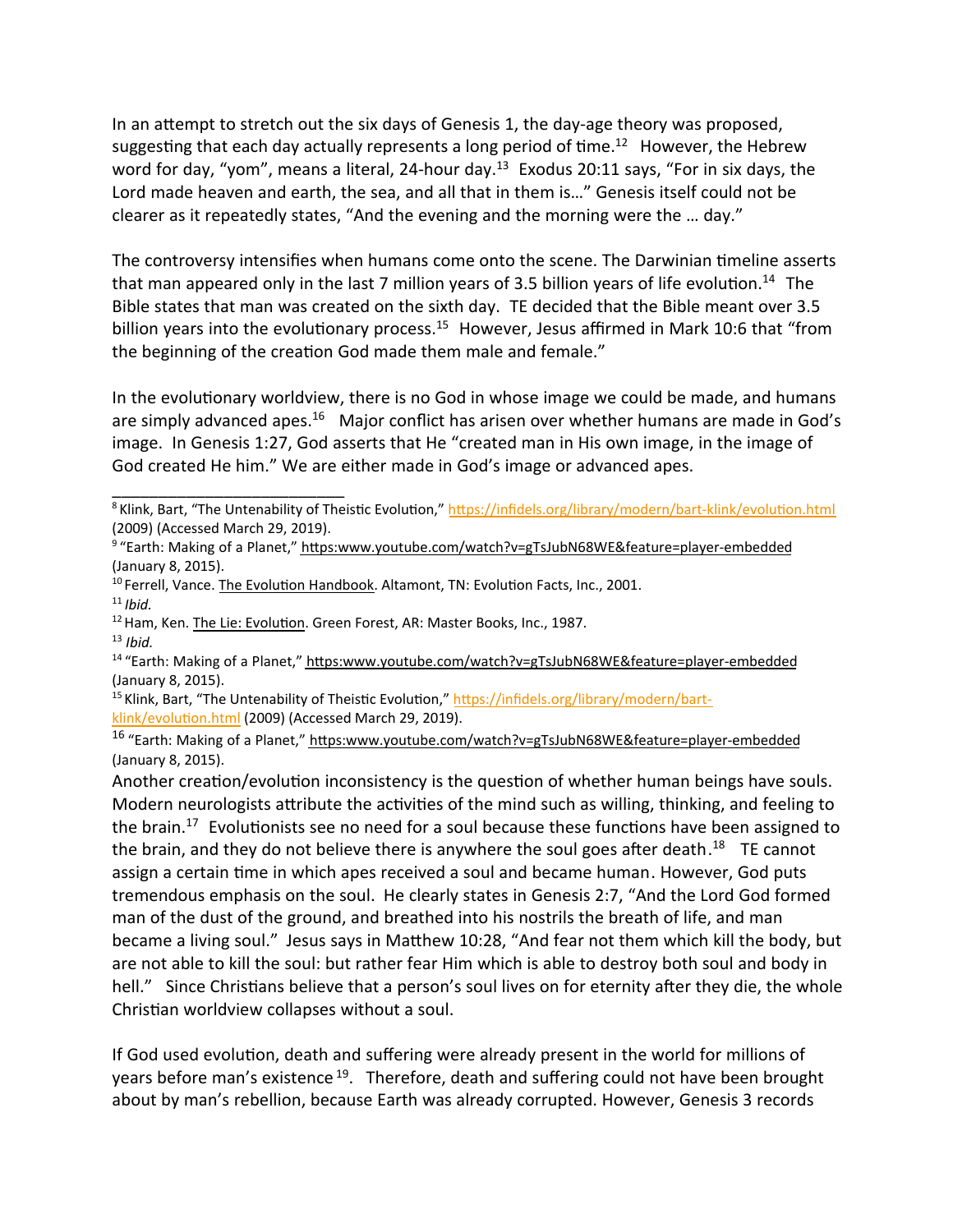In an attempt to stretch out the six days of Genesis 1, the day-age theory was proposed, suggesting that each day actually represents a long period of  $time.^{12}$  However, the Hebrew word for day, "yom", means a literal, 24-hour day. $13$  Exodus 20:11 says, "For in six days, the Lord made heaven and earth, the sea, and all that in them is…" Genesis itself could not be clearer as it repeatedly states, "And the evening and the morning were the … day."

The controversy intensifies when humans come onto the scene. The Darwinian timeline asserts that man appeared only in the last 7 million years of 3.5 billion years of life evolution.<sup>14</sup> The Bible states that man was created on the sixth day. TE decided that the Bible meant over 3.5 billion years into the evolutionary process.<sup>15</sup> However, Jesus affirmed in Mark 10:6 that "from the beginning of the creation God made them male and female."

In the evolutionary worldview, there is no God in whose image we could be made, and humans are simply advanced apes.<sup>16</sup> Major conflict has arisen over whether humans are made in God's image. In Genesis 1:27, God asserts that He "created man in His own image, in the image of God created He him." We are either made in God's image or advanced apes.

\_\_\_\_\_\_\_\_\_\_\_\_\_\_\_\_\_\_\_\_\_\_\_\_\_

 $14$  "Earth: Making of a Planet," https:www.youtube.com/watch?v=gTsJubN68WE&feature=player-embedded (January 8, 2015).

<sup>15</sup> Klink, Bart, "The Untenability of Theistic Evolution," https://infidels.org/library/modern/bartklink/evolution.html (2009) (Accessed March 29, 2019).

<sup>16</sup> "Earth: Making of a Planet," https:www.youtube.com/watch?v=gTsJubN68WE&feature=player-embedded (January 8, 2015).

Another creation/evolution inconsistency is the question of whether human beings have souls. Modern neurologists attribute the activities of the mind such as willing, thinking, and feeling to the brain.<sup>17</sup> Evolutionists see no need for a soul because these functions have been assigned to the brain, and they do not believe there is anywhere the soul goes after death.<sup>18</sup> TE cannot assign a certain time in which apes received a soul and became human. However, God puts tremendous emphasis on the soul. He clearly states in Genesis 2:7, "And the Lord God formed man of the dust of the ground, and breathed into his nostrils the breath of life, and man became a living soul." Jesus says in Matthew 10:28, "And fear not them which kill the body, but are not able to kill the soul: but rather fear Him which is able to destroy both soul and body in hell." Since Christians believe that a person's soul lives on for eternity after they die, the whole Christian worldview collapses without a soul.

If God used evolution, death and suffering were already present in the world for millions of years before man's existence <sup>19</sup>. Therefore, death and suffering could not have been brought about by man's rebellion, because Earth was already corrupted. However, Genesis 3 records

<sup>&</sup>lt;sup>8</sup> Klink, Bart, "The Untenability of Theistic Evolution," https://infidels.org/library/modern/bart-klink/evolution.html (2009) (Accessed March 29, 2019).

<sup>&</sup>lt;sup>9</sup> "Earth: Making of a Planet," https:www.youtube.com/watch?v=gTsJubN68WE&feature=player-embedded (January 8, 2015).

 $10$  Ferrell, Vance. The Evolution Handbook. Altamont, TN: Evolution Facts, Inc., 2001.

 $11$  *Ibid.* 

<sup>&</sup>lt;sup>12</sup> Ham, Ken. The Lie: Evolution. Green Forest, AR: Master Books, Inc., 1987.

<sup>13</sup> *Ibid.*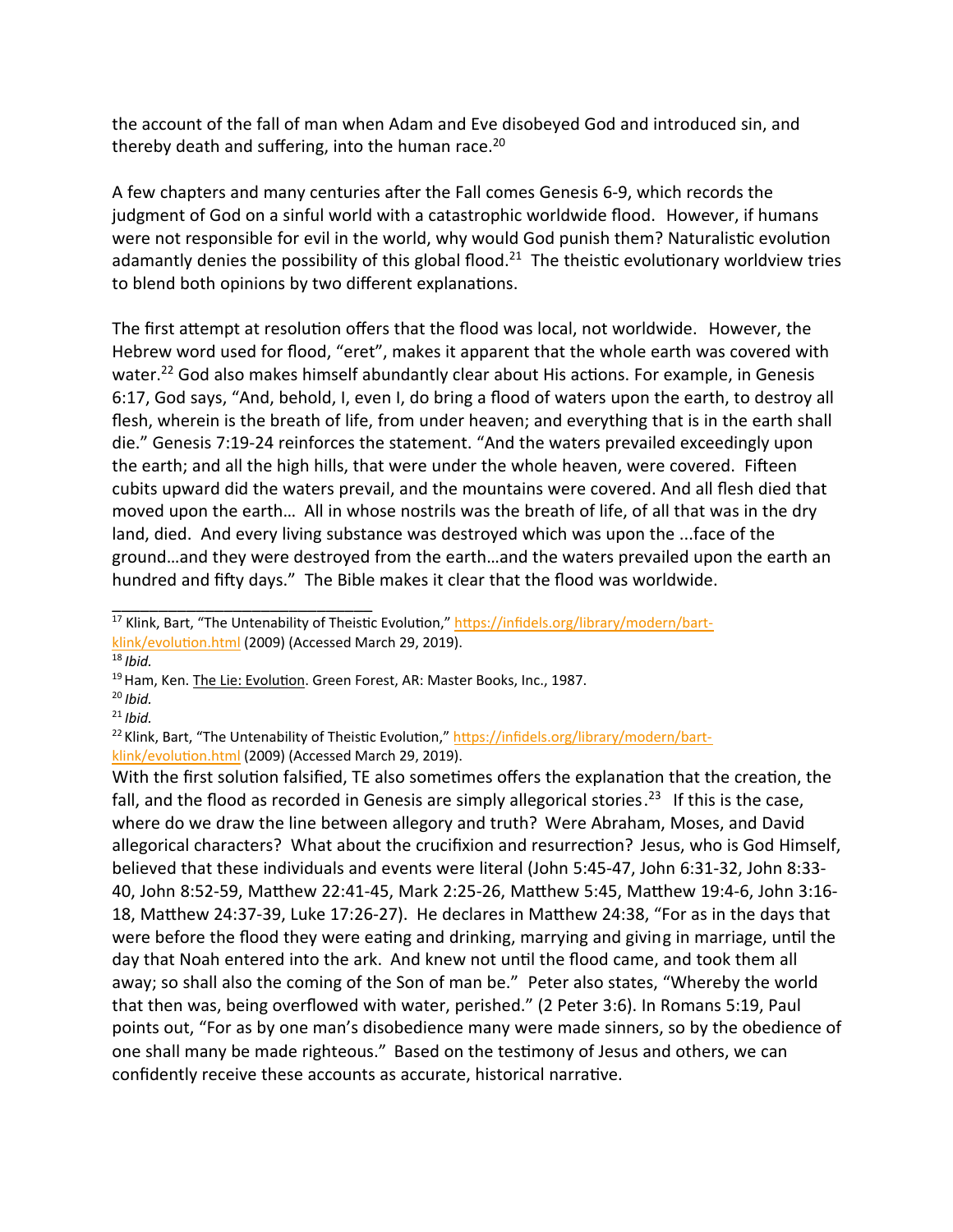the account of the fall of man when Adam and Eve disobeyed God and introduced sin, and thereby death and suffering, into the human race.<sup>20</sup>

A few chapters and many centuries a�er the Fall comes Genesis 6-9, which records the judgment of God on a sinful world with a catastrophic worldwide flood. However, if humans were not responsible for evil in the world, why would God punish them? Naturalistic evolution adamantly denies the possibility of this global flood.<sup>21</sup> The theistic evolutionary worldview tries to blend both opinions by two different explanations.

The first attempt at resolution offers that the flood was local, not worldwide. However, the Hebrew word used for flood, "eret", makes it apparent that the whole earth was covered with water.<sup>22</sup> God also makes himself abundantly clear about His actions. For example, in Genesis 6:17, God says, "And, behold, I, even I, do bring a flood of waters upon the earth, to destroy all flesh, wherein is the breath of life, from under heaven; and everything that is in the earth shall die." Genesis 7:19-24 reinforces the statement. "And the waters prevailed exceedingly upon the earth; and all the high hills, that were under the whole heaven, were covered. Fifteen cubits upward did the waters prevail, and the mountains were covered. And all flesh died that moved upon the earth… All in whose nostrils was the breath of life, of all that was in the dry land, died. And every living substance was destroyed which was upon the ...face of the ground…and they were destroyed from the earth…and the waters prevailed upon the earth an hundred and fi�y days." The Bible makes it clear that the flood was worldwide.

<sup>18</sup> *Ibid.*

<sup>20</sup> *Ibid.*

With the first solution falsified, TE also sometimes offers the explanation that the creation, the fall, and the flood as recorded in Genesis are simply allegorical stories.<sup>23</sup> If this is the case, where do we draw the line between allegory and truth? Were Abraham, Moses, and David allegorical characters? What about the crucifixion and resurrection? Jesus, who is God Himself, believed that these individuals and events were literal (John 5:45-47, John 6:31-32, John 8:33- 40, John 8:52-59, Matthew 22:41-45, Mark 2:25-26, Matthew 5:45, Matthew 19:4-6, John 3:16-18, Matthew 24:37-39, Luke 17:26-27). He declares in Matthew 24:38, "For as in the days that were before the flood they were eating and drinking, marrying and giving in marriage, until the day that Noah entered into the ark. And knew not until the flood came, and took them all away; so shall also the coming of the Son of man be." Peter also states, "Whereby the world that then was, being overflowed with water, perished." (2 Peter 3:6). In Romans 5:19, Paul points out, "For as by one man's disobedience many were made sinners, so by the obedience of one shall many be made righteous." Based on the testimony of Jesus and others, we can confidently receive these accounts as accurate, historical narrative.

\_\_\_\_\_\_\_\_\_\_\_\_\_\_\_\_\_\_\_\_\_\_\_\_\_\_\_\_ <sup>17</sup> Klink, Bart, "The Untenability of Theistic Evolution," https://infidels.org/library/modern/bartklink/evolution.html (2009) (Accessed March 29, 2019).

<sup>&</sup>lt;sup>19</sup> Ham, Ken. The Lie: Evolution. Green Forest, AR: Master Books, Inc., 1987.

<sup>21</sup> *Ibid.*

<sup>&</sup>lt;sup>22</sup> Klink, Bart, "The Untenability of Theistic Evolution," https://infidels.org/library/modern/bartklink/evolution.html (2009) (Accessed March 29, 2019).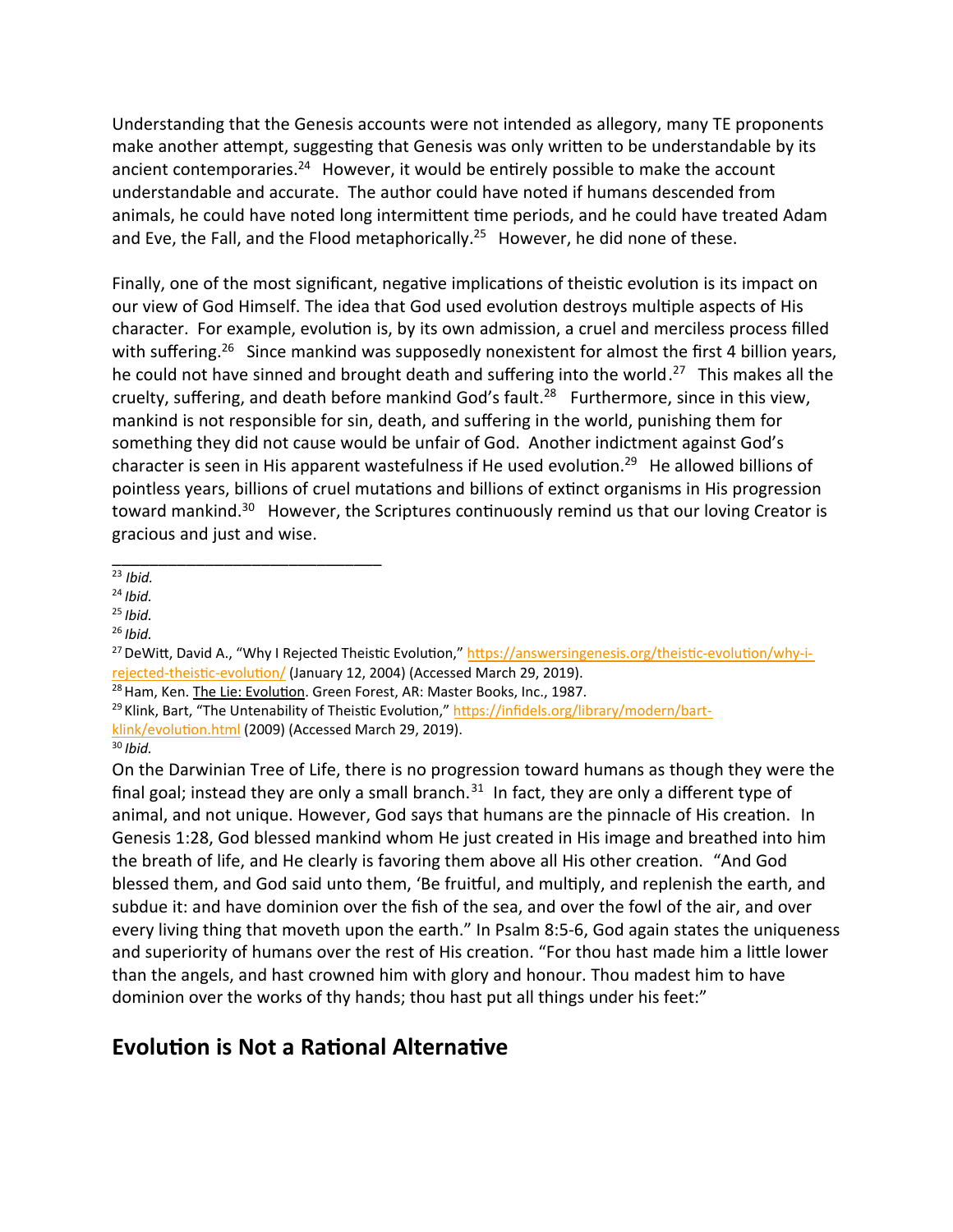Understanding that the Genesis accounts were not intended as allegory, many TE proponents make another attempt, suggesting that Genesis was only written to be understandable by its ancient contemporaries.<sup>24</sup> However, it would be entirely possible to make the account understandable and accurate. The author could have noted if humans descended from animals, he could have noted long intermittent time periods, and he could have treated Adam and Eve, the Fall, and the Flood metaphorically.<sup>25</sup> However, he did none of these.

Finally, one of the most significant, negative implications of theistic evolution is its impact on our view of God Himself. The idea that God used evolution destroys multiple aspects of His character. For example, evolution is, by its own admission, a cruel and merciless process filled with suffering.<sup>26</sup> Since mankind was supposedly nonexistent for almost the first 4 billion years, he could not have sinned and brought death and suffering into the world.<sup>27</sup> This makes all the cruelty, suffering, and death before mankind God's fault.<sup>28</sup> Furthermore, since in this view, mankind is not responsible for sin, death, and suffering in the world, punishing them for something they did not cause would be unfair of God. Another indictment against God's character is seen in His apparent wastefulness if He used evolution.<sup>29</sup> He allowed billions of pointless years, billions of cruel mutations and billions of extinct organisms in His progression toward mankind.<sup>30</sup> However, the Scriptures continuously remind us that our loving Creator is gracious and just and wise.

\_\_\_\_\_\_\_\_\_\_\_\_\_\_\_\_\_\_\_\_\_\_\_\_\_\_\_\_\_ <sup>23</sup> *Ibid.*

On the Darwinian Tree of Life, there is no progression toward humans as though they were the final goal; instead they are only a small branch.<sup>31</sup> In fact, they are only a different type of animal, and not unique. However, God says that humans are the pinnacle of His creation. In Genesis 1:28, God blessed mankind whom He just created in His image and breathed into him the breath of life, and He clearly is favoring them above all His other creation. "And God blessed them, and God said unto them, 'Be fruitful, and multiply, and replenish the earth, and subdue it: and have dominion over the fish of the sea, and over the fowl of the air, and over every living thing that moveth upon the earth." In Psalm 8:5-6, God again states the uniqueness and superiority of humans over the rest of His creation. "For thou hast made him a little lower than the angels, and hast crowned him with glory and honour. Thou madest him to have dominion over the works of thy hands; thou hast put all things under his feet:"

#### **Evolution is Not a Rational Alternative**

<sup>24</sup> *Ibid.*

<sup>25</sup> *Ibid.*

<sup>26</sup> *Ibid.*

<sup>&</sup>lt;sup>27</sup> DeWitt, David A., "Why I Rejected Theistic Evolution," https://answersingenesis.org/theistic-evolution/why-irejected-theistic-evolution/ (January 12, 2004) (Accessed March 29, 2019).

<sup>&</sup>lt;sup>28</sup> Ham, Ken. The Lie: Evolution. Green Forest, AR: Master Books, Inc., 1987.

<sup>&</sup>lt;sup>29</sup> Klink, Bart, "The Untenability of Theistic Evolution," https://infidels.org/library/modern/bart-

klink/evolution.html (2009) (Accessed March 29, 2019).

<sup>30</sup> *Ibid.*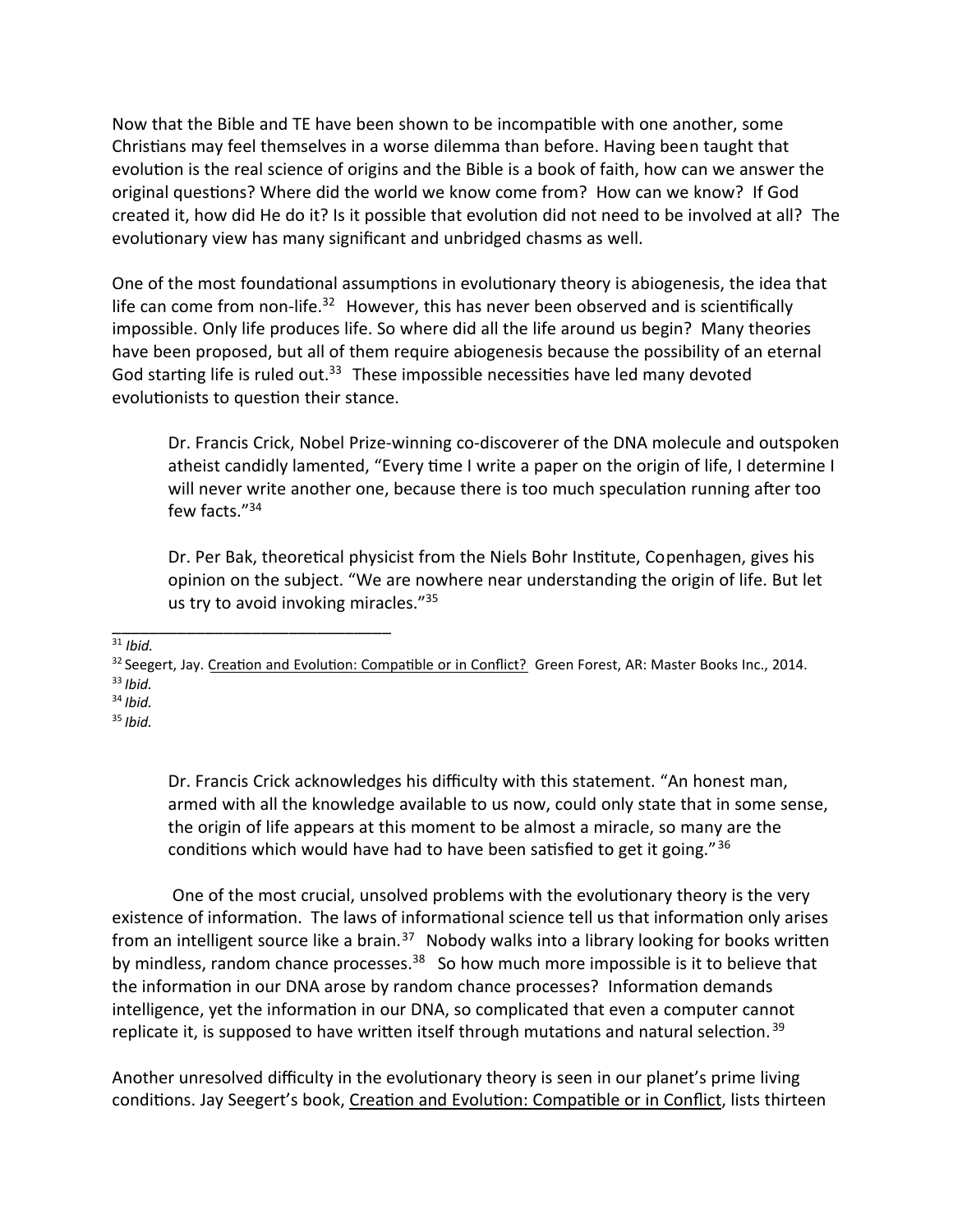Now that the Bible and TE have been shown to be incompatible with one another, some Christians may feel themselves in a worse dilemma than before. Having been taught that evolution is the real science of origins and the Bible is a book of faith, how can we answer the original questions? Where did the world we know come from? How can we know? If God created it, how did He do it? Is it possible that evolution did not need to be involved at all? The evolutionary view has many significant and unbridged chasms as well.

One of the most foundational assumptions in evolutionary theory is abiogenesis, the idea that life can come from non-life.<sup>32</sup> However, this has never been observed and is scientifically impossible. Only life produces life. So where did all the life around us begin? Many theories have been proposed, but all of them require abiogenesis because the possibility of an eternal God starting life is ruled out.<sup>33</sup> These impossible necessities have led many devoted evolutionists to question their stance.

Dr. Francis Crick, Nobel Prize-winning co-discoverer of the DNA molecule and outspoken atheist candidly lamented, "Every time I write a paper on the origin of life, I determine I will never write another one, because there is too much speculation running after too few facts."<sup>34</sup>

Dr. Per Bak, theoretical physicist from the Niels Bohr Institute, Copenhagen, gives his opinion on the subject. "We are nowhere near understanding the origin of life. But let us try to avoid invoking miracles."<sup>35</sup>

\_\_\_\_\_\_\_\_\_\_\_\_\_\_\_\_\_\_\_\_\_\_\_\_\_\_\_\_\_\_  $\overline{31}$  *Ibid.* 

<sup>32</sup> Seegert, Jay. Creation and Evolution: Compatible or in Conflict? Green Forest, AR: Master Books Inc., 2014. <sup>33</sup> *Ibid.*

<sup>34</sup> *Ibid.*

<sup>35</sup> *Ibid.*

Dr. Francis Crick acknowledges his difficulty with this statement. "An honest man, armed with all the knowledge available to us now, could only state that in some sense, the origin of life appears at this moment to be almost a miracle, so many are the conditions which would have had to have been satisfied to get it going."  $36$ 

One of the most crucial, unsolved problems with the evolutionary theory is the very existence of information. The laws of informational science tell us that information only arises from an intelligent source like a brain.<sup>37</sup> Nobody walks into a library looking for books written by mindless, random chance processes.<sup>38</sup> So how much more impossible is it to believe that the information in our DNA arose by random chance processes? Information demands intelligence, yet the information in our DNA, so complicated that even a computer cannot replicate it, is supposed to have written itself through mutations and natural selection.<sup>39</sup>

Another unresolved difficulty in the evolutionary theory is seen in our planet's prime living conditions. Jay Seegert's book, Creation and Evolution: Compatible or in Conflict, lists thirteen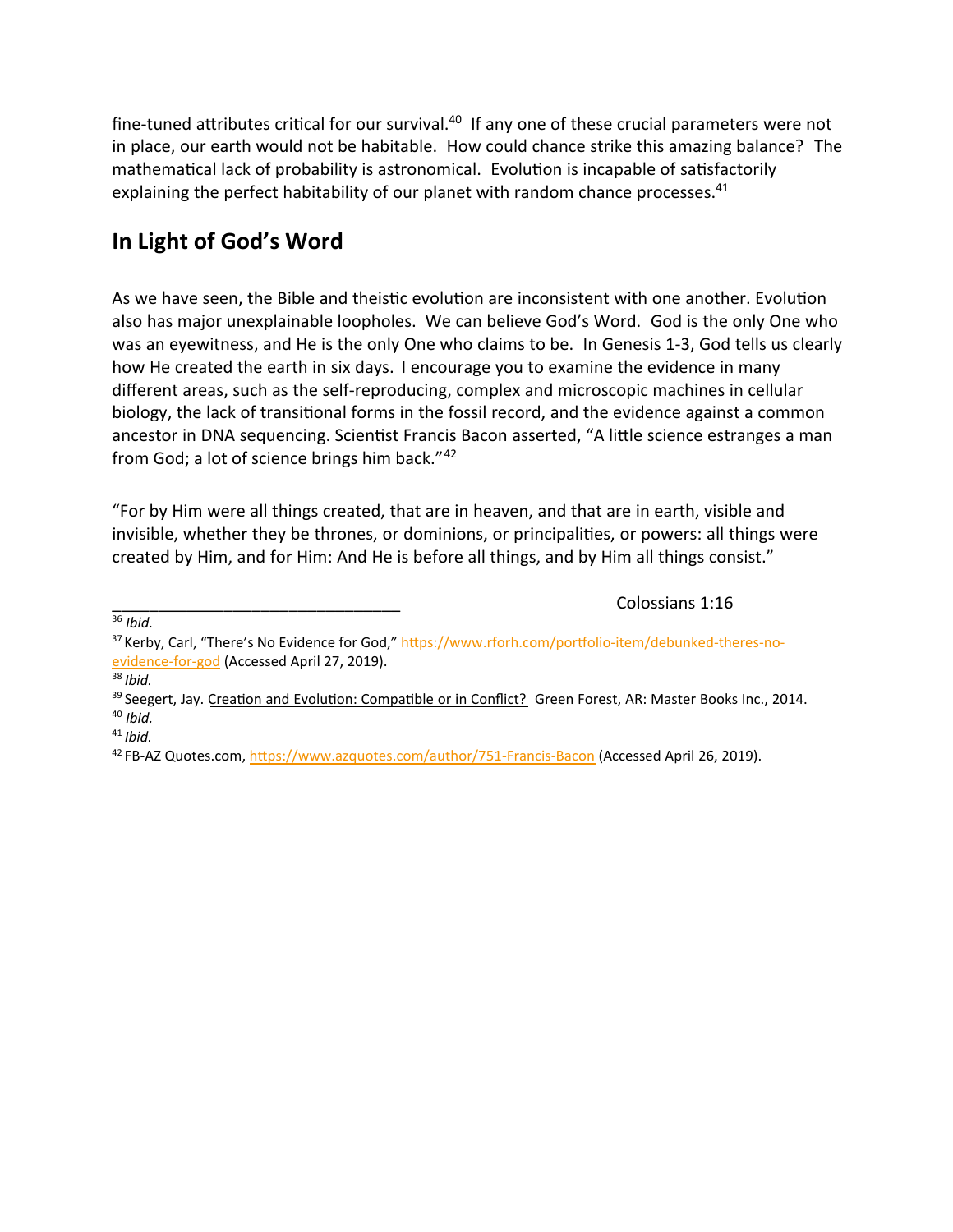fine-tuned attributes critical for our survival. $40$  If any one of these crucial parameters were not in place, our earth would not be habitable. How could chance strike this amazing balance? The mathematical lack of probability is astronomical. Evolution is incapable of satisfactorily explaining the perfect habitability of our planet with random chance processes. $41$ 

#### **In Light of God's Word**

As we have seen, the Bible and theistic evolution are inconsistent with one another. Evolution also has major unexplainable loopholes. We can believe God's Word. God is the only One who was an eyewitness, and He is the only One who claims to be. In Genesis 1-3, God tells us clearly how He created the earth in six days. I encourage you to examine the evidence in many different areas, such as the self-reproducing, complex and microscopic machines in cellular biology, the lack of transitional forms in the fossil record, and the evidence against a common ancestor in DNA sequencing. Scientist Francis Bacon asserted, "A little science estranges a man from God; a lot of science brings him back." 42

"For by Him were all things created, that are in heaven, and that are in earth, visible and invisible, whether they be thrones, or dominions, or principalities, or powers: all things were created by Him, and for Him: And He is before all things, and by Him all things consist."

Colossians 1:16

<sup>36</sup> *Ibid.*

<sup>38</sup> *Ibid.*

<sup>41</sup> *Ibid.*

<sup>37</sup> Kerby, Carl, "There's No Evidence for God," https://www.rforh.com/portfolio-item/debunked-theres-noevidence-for-god (Accessed April 27, 2019).

<sup>&</sup>lt;sup>39</sup> Seegert, Jay. Creation and Evolution: Compatible or in Conflict? Green Forest, AR: Master Books Inc., 2014. <sup>40</sup> *Ibid.*

<sup>&</sup>lt;sup>42</sup> FB-AZ Quotes.com, https://www.azquotes.com/author/751-Francis-Bacon (Accessed April 26, 2019).